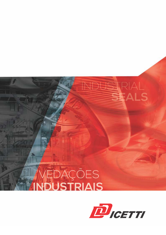



NDUSTRIAL<br>SLALS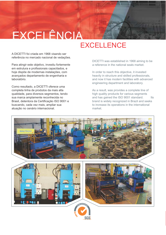# EXCELÊNCIA

### **EXCELLENCE**

A DICETTI foi criada em 1968 visando ser referência no mercado nacional de vedações.

Para atingir este objetivo, investiu fortemente em estrutura e profissionais capacitados, e hoje dispõe de modernas instalações, com avançados departamento de engenharia e laboratório.

Como resultado, a DICETTI oferece uma completa linha de produtos da mais alta qualidade, para diversos segmentos, tendo sua marca amplamente reconhecida no Brasil, detentora da Certificação ISO 9001 e buscando, cada vez mais, ampliar sua atuação no cenário internacional.

DICETTI was established in 1968 aiming to be a reference in the national seals market.

In order to reach this objective, it invested heavily in structure and skilled professionals, and now it has modern facilities with advanced engineering department and laboratory.

As a result, was provides a complete line of high quality products for various segments and has gained the ISO 9001 standard. Its brand is widely recognized in Brazil and seeks to increase its operations in the international market.

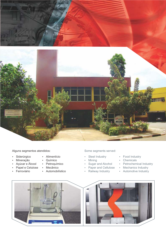

Alguns segmentos atendidos: Some segments served:

- · Siderúrgico
- · Mineração
	- Químico • Petroquímico
- Açúcar e Álcool • Papel e Celulose
	- Mecânico

• Alimentício

- · Ferroviário
- Automobilístico

- Steel Industry
- Mining
- Sugar and Alcohol
- Paper and Cellulose
- Railway Industry
- Food Industry
- Chemicals
- Petrochemical Industry
- Mechanics Industry
- Automotive Industry

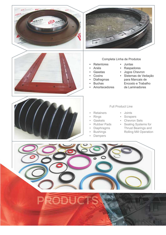





#### Completa Linha de Produtos

- Juntas
- Anéis
- Gaxetas
- Coxins
- Diafragmas

• Retentores

- Buchas
- **Amortecedores**
- Jogos Chevron • Sistemas de Vedação

• Raspadores

- para Mancais de
- Encosto e Trabalho
- de Laminadores



#### Full Product Line

- Retainers
- Rings
- Gaskets
- Rubber Pads
- Diaphragms
- Bushings
- Dampers
- Joints • Scrapers
- Chevron Sets
- Sealing Systems for Thrust Bearings and Rolling Mill Operation



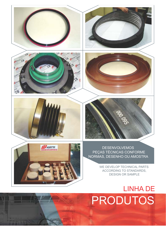

WE DEVELOP TECHNICAL PARTS ACCORDING TO STANDARDS, DESIGN OR SAMPLE

## PRODUTOS LINHA DE

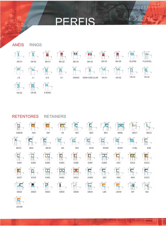### PERFIS

### ANÉIS RINGS



RETENTORES RETAINERS

VR-05 VR-06 X-RING



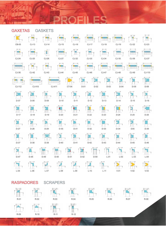

**STATE** 

### RASPADORES SCRAPERS

R-09 R-10 R-11 R-12